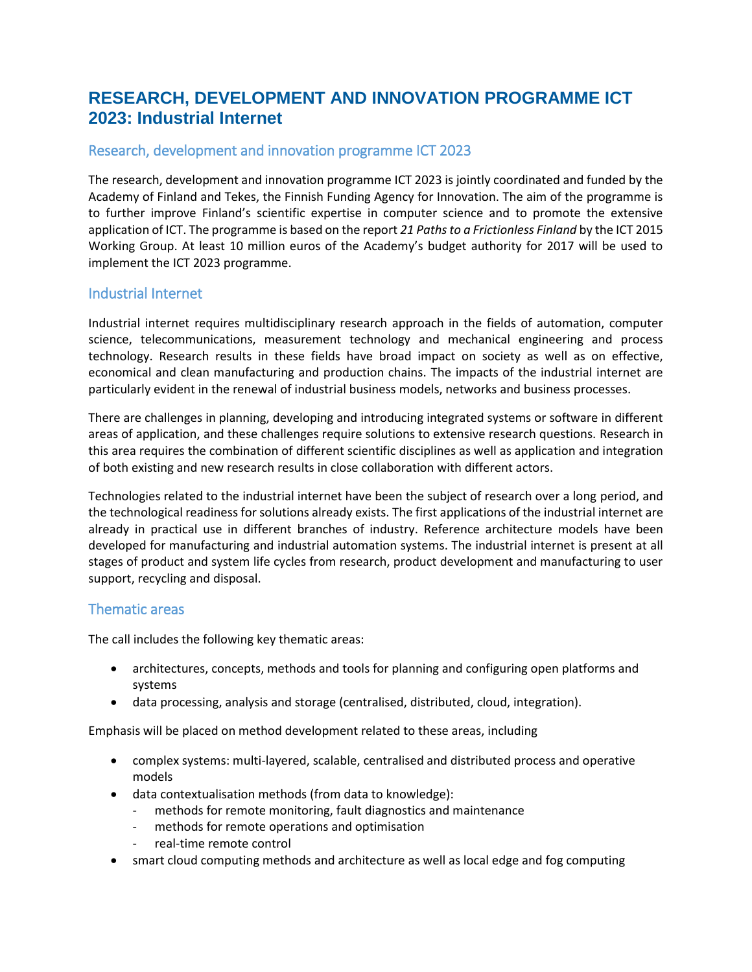# **RESEARCH, DEVELOPMENT AND INNOVATION PROGRAMME ICT 2023: Industrial Internet**

# Research, development and innovation programme ICT 2023

The research, development and innovation programme ICT 2023 is jointly coordinated and funded by the Academy of Finland and Tekes, the Finnish Funding Agency for Innovation. The aim of the programme is to further improve Finland's scientific expertise in computer science and to promote the extensive application of ICT. The programme is based on the report *21 Paths to a Frictionless Finland* by the ICT 2015 Working Group. At least 10 million euros of the Academy's budget authority for 2017 will be used to implement the ICT 2023 programme.

#### Industrial Internet

Industrial internet requires multidisciplinary research approach in the fields of automation, computer science, telecommunications, measurement technology and mechanical engineering and process technology. Research results in these fields have broad impact on society as well as on effective, economical and clean manufacturing and production chains. The impacts of the industrial internet are particularly evident in the renewal of industrial business models, networks and business processes.

There are challenges in planning, developing and introducing integrated systems or software in different areas of application, and these challenges require solutions to extensive research questions. Research in this area requires the combination of different scientific disciplines as well as application and integration of both existing and new research results in close collaboration with different actors.

Technologies related to the industrial internet have been the subject of research over a long period, and the technological readiness for solutions already exists. The first applications of the industrial internet are already in practical use in different branches of industry. Reference architecture models have been developed for manufacturing and industrial automation systems. The industrial internet is present at all stages of product and system life cycles from research, product development and manufacturing to user support, recycling and disposal.

#### Thematic areas

The call includes the following key thematic areas:

- architectures, concepts, methods and tools for planning and configuring open platforms and systems
- data processing, analysis and storage (centralised, distributed, cloud, integration).

Emphasis will be placed on method development related to these areas, including

- complex systems: multi-layered, scalable, centralised and distributed process and operative models
- data contextualisation methods (from data to knowledge):
	- methods for remote monitoring, fault diagnostics and maintenance
	- methods for remote operations and optimisation
	- real-time remote control
- smart cloud computing methods and architecture as well as local edge and fog computing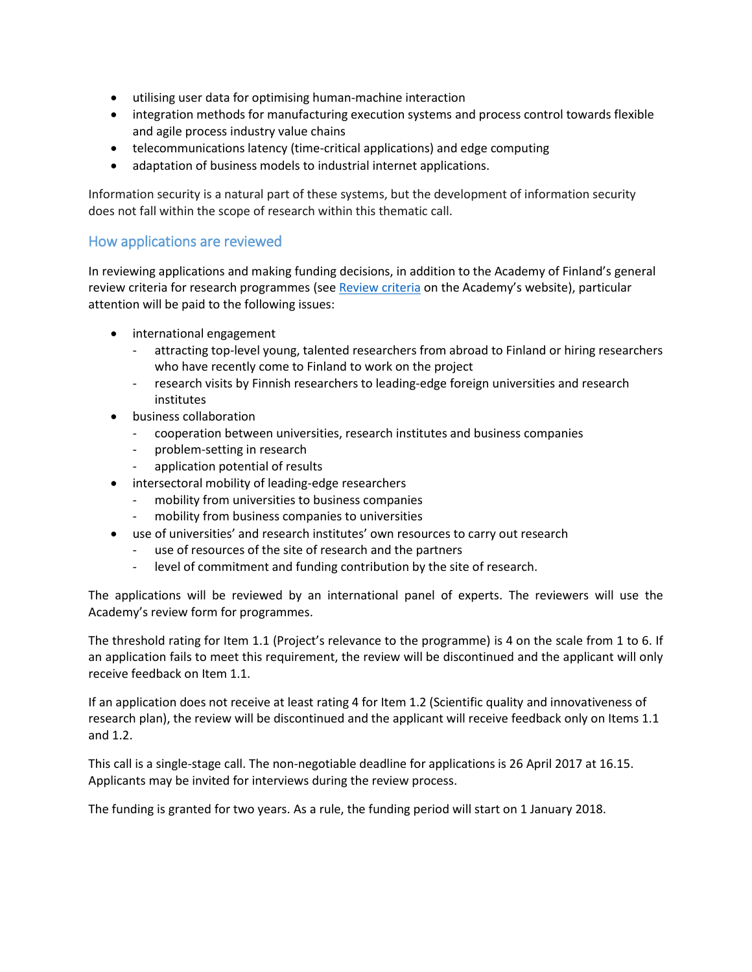- utilising user data for optimising human-machine interaction
- integration methods for manufacturing execution systems and process control towards flexible and agile process industry value chains
- telecommunications latency (time-critical applications) and edge computing
- adaptation of business models to industrial internet applications.

Information security is a natural part of these systems, but the development of information security does not fall within the scope of research within this thematic call.

#### How applications are reviewed

In reviewing applications and making funding decisions, in addition to the Academy of Finland's general review criteria for research programmes (see [Review criteria](http://www.aka.fi/en/review-and-funding-decisions/how-applications-are-reviewed/review-criteria/) on the Academy's website), particular attention will be paid to the following issues:

- international engagement
	- attracting top-level young, talented researchers from abroad to Finland or hiring researchers who have recently come to Finland to work on the project
	- research visits by Finnish researchers to leading-edge foreign universities and research institutes
- business collaboration
	- cooperation between universities, research institutes and business companies
	- problem-setting in research
	- application potential of results
- intersectoral mobility of leading-edge researchers
	- mobility from universities to business companies
	- mobility from business companies to universities
- use of universities' and research institutes' own resources to carry out research
	- use of resources of the site of research and the partners
	- level of commitment and funding contribution by the site of research.

The applications will be reviewed by an international panel of experts. The reviewers will use the Academy's review form for programmes.

The threshold rating for Item 1.1 (Project's relevance to the programme) is 4 on the scale from 1 to 6. If an application fails to meet this requirement, the review will be discontinued and the applicant will only receive feedback on Item 1.1.

If an application does not receive at least rating 4 for Item 1.2 (Scientific quality and innovativeness of research plan), the review will be discontinued and the applicant will receive feedback only on Items 1.1 and 1.2.

This call is a single-stage call. The non-negotiable deadline for applications is 26 April 2017 at 16.15. Applicants may be invited for interviews during the review process.

The funding is granted for two years. As a rule, the funding period will start on 1 January 2018.